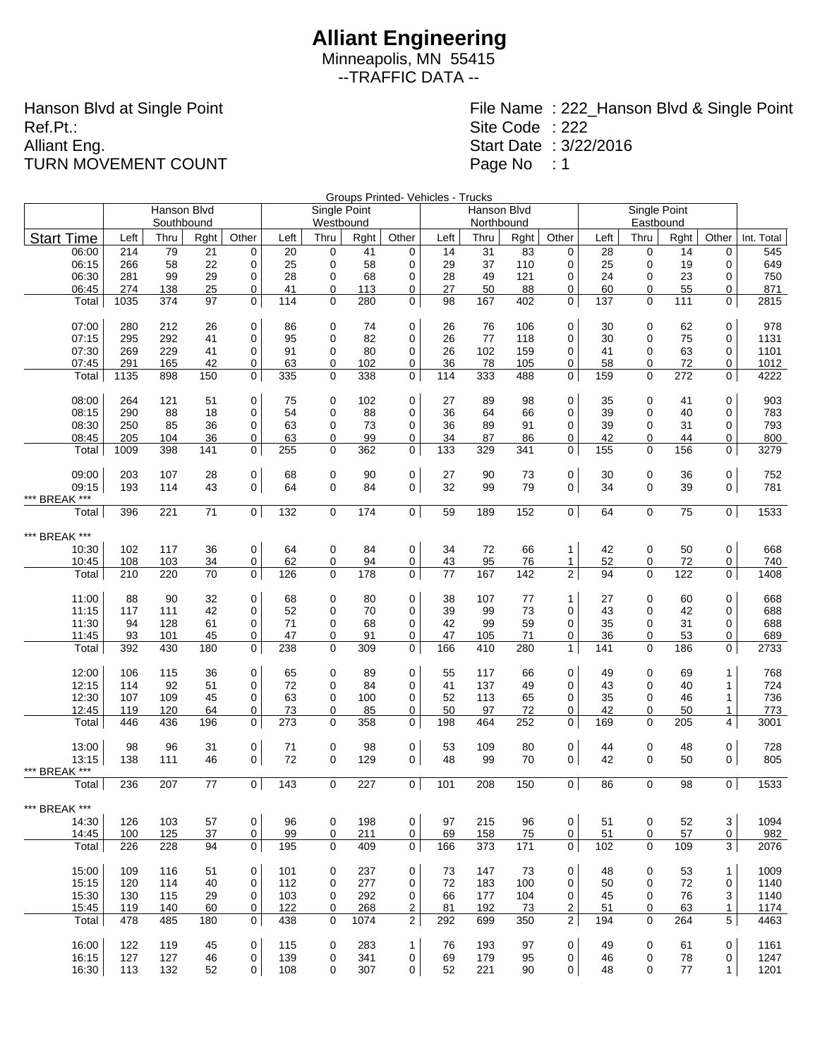Minneapolis, MN 55415 --TRAFFIC DATA --

Hanson Blvd at Single Point Ref.Pt.: Alliant Eng. TURN MOVEMENT COUNT

|                   |      |             |      |                |      |              |      |                     | Groups Printed- Vehicles - Trucks |             |      |                |      | Single Point |      |                |            |
|-------------------|------|-------------|------|----------------|------|--------------|------|---------------------|-----------------------------------|-------------|------|----------------|------|--------------|------|----------------|------------|
|                   |      | Hanson Blvd |      |                |      | Single Point |      |                     |                                   | Hanson Blvd |      |                |      |              |      |                |            |
|                   |      | Southbound  |      |                |      | Westbound    |      |                     |                                   | Northbound  |      |                |      | Eastbound    |      |                |            |
| <b>Start Time</b> | Left | Thru        | Rght | Other          | Left | Thru         | Rght | Other               | Left                              | Thru        | Rght | Other          | Left | Thru         | Rght | Other          | Int. Total |
| 06:00             | 214  | 79          | 21   | 0              | 20   | 0            | 41   | 0                   | 14                                | 31          | 83   | 0              | 28   | 0            | 14   | 0              | 545        |
| 06:15             | 266  | 58          | 22   | 0              | 25   | 0            | 58   | 0                   | 29                                | 37          | 110  | 0              | 25   | $\mathbf 0$  | 19   | 0              | 649        |
| 06:30             | 281  | 99          | 29   | $\mathbf 0$    | 28   | 0            | 68   | 0                   | 28                                | 49          | 121  | 0              | 24   | 0            | 23   | 0              | 750        |
| 06:45             | 274  | 138         | 25   | 0              | 41   | 0            | 113  | 0                   | 27                                | 50          | 88   | 0              | 60   | 0            | 55   | 0              | 871        |
| Total             | 1035 | 374         | 97   | 0              | 114  | 0            | 280  | 0 <sup>1</sup>      | 98                                | 167         | 402  | 0              | 137  | 0            | 111  | $\mathbf 0$    | 2815       |
| 07:00             | 280  | 212         | 26   | 0              | 86   | 0            | 74   | 0                   | 26                                | 76          | 106  | 0              | 30   | 0            | 62   | 0              | 978        |
| 07:15             | 295  | 292         | 41   | 0              | 95   | 0            | 82   | 0                   | 26                                | 77          | 118  | 0              | 30   | 0            | 75   | 0              | 1131       |
| 07:30             | 269  | 229         | 41   | 0              | 91   | 0            | 80   | $\mathbf 0$         | 26                                | 102         | 159  | 0              | 41   | 0            | 63   | 0              | 1101       |
| 07:45             | 291  | 165         | 42   | 0              | 63   | 0            | 102  | 0                   | 36                                | 78          | 105  | 0              | 58   | 0            | 72   | 0              | 1012       |
| Total             | 1135 | 898         | 150  | 0              | 335  | 0            | 338  | 0                   | 114                               | 333         | 488  | 0              | 159  | 0            | 272  | 0              | 4222       |
| 08:00             | 264  | 121         | 51   | 0              | 75   | 0            | 102  | 0                   | 27                                | 89          | 98   | 0              | 35   | 0            | 41   | $\mathbf 0$    | 903        |
| 08:15             | 290  | 88          | 18   | 0              | 54   | 0            | 88   | 0                   | 36                                | 64          | 66   | 0              | 39   | 0            | 40   | 0              | 783        |
| 08:30             | 250  | 85          | 36   | 0              | 63   | 0            | 73   | 0                   | 36                                | 89          | 91   | 0              | 39   | 0            | 31   | 0              | 793        |
| 08:45             | 205  | 104         | 36   | 0              | 63   | 0            | 99   | 0                   | 34                                | 87          | 86   | 0              | 42   | 0            | 44   | 0              | 800        |
| Total             | 1009 | 398         | 141  | 0              | 255  | 0            | 362  | 0                   | 133                               | 329         | 341  | 0              | 155  | 0            | 156  | 0              | 3279       |
| 09:00             | 203  | 107         | 28   | 0              | 68   | $\mathbf 0$  | 90   | $\mathsf{O}\xspace$ | 27                                | 90          | 73   | 0              | 30   | 0            | 36   | 0              | 752        |
| 09:15             | 193  | 114         | 43   | $\mathbf 0$    | 64   | $\mathbf 0$  | 84   | 0                   | 32                                | 99          | 79   | 0              | 34   | $\mathbf 0$  | 39   | 0              | 781        |
| *** BREAK ***     |      |             |      |                |      |              |      |                     |                                   |             |      |                |      |              |      |                |            |
| Total             | 396  | 221         | 71   | $\mathbf 0$    | 132  | $\mathbf 0$  | 174  | $\overline{0}$      | 59                                | 189         | 152  | 0              | 64   | $\mathbf 0$  | 75   | $\overline{0}$ | 1533       |
| *** BREAK ***     |      |             |      |                |      |              |      |                     |                                   |             |      |                |      |              |      |                |            |
| 10:30             | 102  | 117         | 36   | 0              | 64   | 0            | 84   | $\mathbf 0$         | 34                                | 72          | 66   | 1              | 42   | 0            | 50   | 0              | 668        |
| 10:45             | 108  | 103         | 34   | 0              | 62   | 0            | 94   | 0                   | 43                                | 95          | 76   | 1              | 52   | 0            | 72   | 0              | 740        |
| Total             | 210  | 220         | 70   | 0              | 126  | 0            | 178  | $\overline{0}$      | 77                                | 167         | 142  | $\overline{2}$ | 94   | $\mathbf 0$  | 122  | 0              | 1408       |
|                   |      |             |      |                |      |              |      |                     |                                   |             |      |                |      |              |      |                |            |
| 11:00             | 88   | 90          | 32   | 0              | 68   | 0            | 80   | 0                   | 38                                | 107         | 77   | $\mathbf{1}$   | 27   | 0            | 60   | 0              | 668        |
| 11:15             | 117  | 111         | 42   | 0              | 52   | 0            | 70   | 0                   | 39                                | 99          | 73   | 0              | 43   | 0            | 42   | 0              | 688        |
| 11:30             | 94   | 128         | 61   | 0              | 71   | 0            | 68   | 0                   | 42                                | 99          | 59   | $\mathbf 0$    | 35   | 0            | 31   | $\mathbf 0$    | 688        |
| 11:45             | 93   | 101         | 45   | 0              | 47   | 0            | 91   | 0                   | 47                                | 105         | 71   | 0              | 36   | 0            | 53   | 0              | 689        |
| Total             | 392  | 430         | 180  | $\mathbf 0$    | 238  | $\Omega$     | 309  | 0                   | 166                               | 410         | 280  | $\mathbf{1}$   | 141  | $\mathbf{0}$ | 186  | 0              | 2733       |
| 12:00             | 106  | 115         | 36   | 0              | 65   | 0            | 89   | 0                   | 55                                | 117         | 66   | 0              | 49   | 0            | 69   | 1              | 768        |
| 12:15             | 114  | 92          | 51   | 0              | 72   | 0            | 84   | 0                   | 41                                | 137         | 49   | 0              | 43   | 0            | 40   | 1              | 724        |
| 12:30             | 107  | 109         | 45   | $\mathbf 0$    | 63   | 0            | 100  | 0                   | 52                                | 113         | 65   | 0              | 35   | 0            | 46   | $\mathbf{1}$   | 736        |
| 12:45             | 119  | 120         | 64   | 0              | 73   | 0            | 85   | 0                   | 50                                | 97          | 72   | 0              | 42   | 0            | 50   | 1              | 773        |
| Total             | 446  | 436         | 196  | $\mathbf 0$    | 273  | 0            | 358  | 0                   | 198                               | 464         | 252  | $\mathbf 0$    | 169  | 0            | 205  | 4              | 3001       |
| 13:00             | 98   | 96          | 31   | 0              | 71   | 0            | 98   | $\mathsf{O}\xspace$ | 53                                | 109         | 80   | 0              | 44   | $\pmb{0}$    | 48   | 0              | 728        |
| 13:15             | 138  | 111         | 46   | $\mathbf 0$    | 72   | $\mathbf 0$  | 129  | 0                   | 48                                | 99          | 70   | 0              | 42   | 0            | 50   | $\mathbf{0}$   | 805        |
| *** BREAK ***     |      |             |      |                |      |              |      |                     |                                   |             |      |                |      |              |      |                |            |
| Total             | 236  | 207         | 77   | $\mathbf 0$    | 143  | $\mathbf 0$  | 227  | $\overline{0}$      | 101                               | 208         | 150  | $\mathbf 0$    | 86   | $\mathbf 0$  | 98   | $\mathbf 0$    | 1533       |
| *** BREAK ***     |      |             |      |                |      |              |      |                     |                                   |             |      |                |      |              |      |                |            |
| 14:30             | 126  | 103         | 57   | 0              | 96   | 0            | 198  | $\mathsf{O}\xspace$ | 97                                | 215         | 96   | 0              | 51   | 0            | 52   | 3              | 1094       |
| 14:45             | 100  | 125         | 37   | 0              | 99   | 0            | 211  | $\overline{0}$      | 69                                | 158         | 75   | 0              | 51   | 0            | 57   | $\overline{0}$ | 982        |
| Total             | 226  | 228         | 94   | 0              | 195  | 0            | 409  | 0 <sup>1</sup>      | 166                               | 373         | 171  | 0              | 102  | 0            | 109  | 3 <sup>1</sup> | 2076       |
| 15:00             | 109  | 116         | 51   | 0              | 101  | 0            | 237  | $\mathbf 0$         | 73                                | 147         | 73   | 0              | 48   | 0            | 53   | $\mathbf{1}$   | 1009       |
| 15:15             | 120  | 114         | 40   | 0              | 112  | 0            | 277  | 0                   | 72                                | 183         | 100  | 0              | 50   | 0            | 72   | 0              | 1140       |
| 15:30             | 130  | 115         | 29   | 0              | 103  | 0            | 292  | 0                   | 66                                | 177         | 104  | 0              | 45   | 0            | 76   | 3              | 1140       |
| 15:45             | 119  | 140         | 60   | $\overline{0}$ | 122  | 0            | 268  | $\overline{2}$      | 81                                | 192         | 73   | 2              | 51   | 0            | 63   | $\mathbf{1}$   | 1174       |
| Total             | 478  | 485         | 180  | 0              | 438  | 0            | 1074 | $\overline{2}$      | 292                               | 699         | 350  | $\overline{2}$ | 194  | 0            | 264  | 5              | 4463       |
|                   |      |             |      |                |      |              |      |                     |                                   |             |      |                |      |              |      |                |            |
| 16:00             | 122  | 119         | 45   | 0              | 115  | 0            | 283  | $\mathbf{1}$        | 76                                | 193         | 97   | 0              | 49   | 0            | 61   | 0              | 1161       |
| 16:15             | 127  | 127         | 46   | 0              | 139  | 0            | 341  | 0                   | 69                                | 179         | 95   | 0              | 46   | 0            | 78   | 0              | 1247       |
| 16:30             | 113  | 132         | 52   | $\mathbf 0$    | 108  | 0            | 307  | $\mathbf 0$         | 52                                | 221         | 90   | 0              | 48   | 0            | 77   | 1              | 1201       |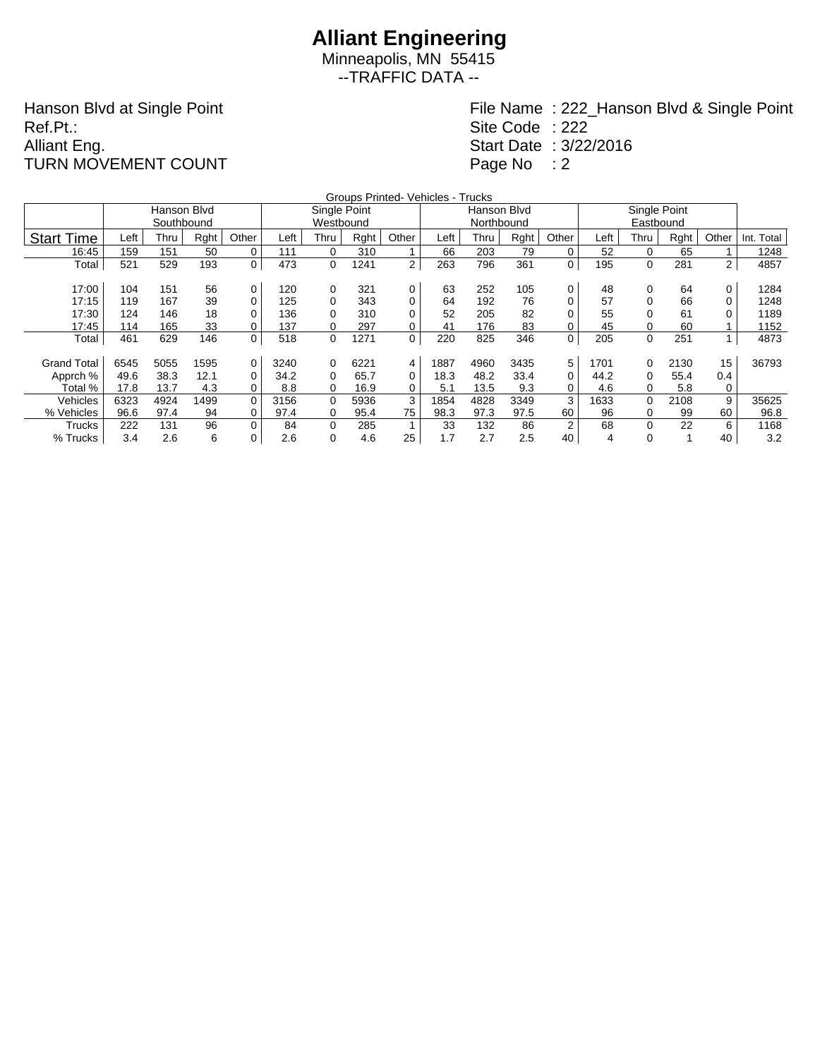Minneapolis, MN 55415 --TRAFFIC DATA --

Hanson Blvd at Single Point Ref.Pt.: Alliant Eng. TURN MOVEMENT COUNT

|                    |      |             |      |                |      |              |      | Groups Printed- Vehicles - Trucks |      |             |      |       |      |          |      |                |            |
|--------------------|------|-------------|------|----------------|------|--------------|------|-----------------------------------|------|-------------|------|-------|------|----------|------|----------------|------------|
|                    |      | Hanson Blvd |      |                |      | Single Point |      |                                   |      | Hanson Blvd |      |       |      |          |      |                |            |
|                    |      | Southbound  |      |                |      | Westbound    |      |                                   |      | Northbound  |      |       |      |          |      |                |            |
| <b>Start Time</b>  | Left | Thru        | Rght | Other          | Left | Thru         | Rght | Other                             | Left | Thru        | Rght | Other | Left | Thru     | Rght | Other          | Int. Total |
| 16:45              | 159  | 151         | 50   | 0              | 111  | 0            | 310  |                                   | 66   | 203         | 79   | 0     | 52   | 0        | 65   |                | 1248       |
| Total              | 521  | 529         | 193  | 0              | 473  | 0            | 1241 | $\overline{2}$                    | 263  | 796         | 361  | 0     | 195  | 0        | 281  | $\overline{2}$ | 4857       |
|                    |      |             |      |                |      |              |      |                                   |      |             |      |       |      |          |      |                |            |
| 17:00              | 104  | 151         | 56   | 0              | 120  | 0            | 321  | 0                                 | 63   | 252         | 105  | 0     | 48   | 0        | 64   | 0              | 1284       |
| 17:15              | 119  | 167         | 39   | 0              | 125  | 0            | 343  | 0                                 | 64   | 192         | 76   | 0     | 57   |          | 66   | 0              | 1248       |
| 17:30              | 124  | 146         | 18   | 0              | 136  | 0            | 310  | 0                                 | 52   | 205         | 82   | 0     | 55   |          | 61   |                | 1189       |
| 17:45              | 114  | 165         | 33   | 0              | 137  | 0            | 297  | 0                                 | 41   | 176         | 83   | 0     | 45   |          | 60   |                | 1152       |
| Total              | 461  | 629         | 146  | 0              | 518  | 0            | 1271 | 0                                 | 220  | 825         | 346  | 0     | 205  | 0        | 251  |                | 4873       |
|                    |      |             |      |                |      |              |      |                                   |      |             |      |       |      |          |      |                |            |
| <b>Grand Total</b> | 6545 | 5055        | 1595 | $\overline{0}$ | 3240 | 0            | 6221 | 4                                 | 1887 | 4960        | 3435 | 5     | 1701 | $\Omega$ | 2130 | 15             | 36793      |
| Apprch %           | 49.6 | 38.3        | 12.1 | 0              | 34.2 | 0            | 65.7 | 0                                 | 18.3 | 48.2        | 33.4 | 0     | 44.2 | 0        | 55.4 | 0.4            |            |
| Total %            | 17.8 | 13.7        | 4.3  | 0              | 8.8  | 0            | 16.9 | 0                                 | 5.1  | 13.5        | 9.3  | 0     | 4.6  | 0        | 5.8  | 0              |            |
| Vehicles           | 6323 | 4924        | 1499 | $\Omega$       | 3156 | $\Omega$     | 5936 | 3                                 | 1854 | 4828        | 3349 | 3     | 1633 | $\Omega$ | 2108 | 9              | 35625      |
| % Vehicles         | 96.6 | 97.4        | 94   | 0              | 97.4 | 0            | 95.4 | 75                                | 98.3 | 97.3        | 97.5 | 60    | 96   | 0        | 99   | 60             | 96.8       |
| Trucks             | 222  | 131         | 96   | 0              | 84   | 0            | 285  |                                   | 33   | 132         | 86   | 2     | 68   | 0        | 22   | 6              | 1168       |
| % Trucks           | 3.4  | 2.6         | 6    | 0              | 2.6  | 0            | 4.6  | 25                                | 1.7  | 2.7         | 2.5  | 40    | 4    | 0        |      | 40             | 3.2        |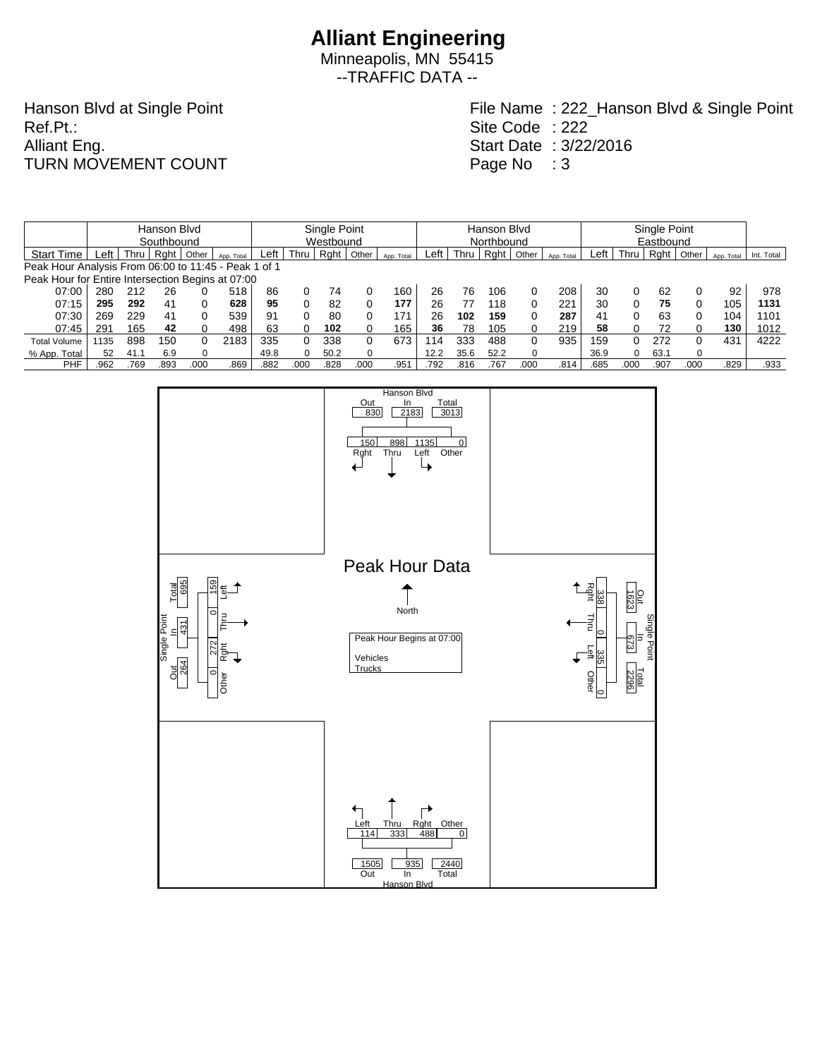Minneapolis, MN 55415 --TRAFFIC DATA --

Hanson Blvd at Single Point Ref.Pt.: Alliant Eng. TURN MOVEMENT COUNT

|                                                      |            |      | Single Point |       |            |      |           |      | Hanson Blvd |            |      |      |            |       | Single Point |      |      |      |           |            |            |  |  |  |
|------------------------------------------------------|------------|------|--------------|-------|------------|------|-----------|------|-------------|------------|------|------|------------|-------|--------------|------|------|------|-----------|------------|------------|--|--|--|
|                                                      | Southbound |      |              |       |            |      | Westbound |      |             |            |      |      | Northbound |       |              |      |      |      | Eastbound |            |            |  |  |  |
| <b>Start Time</b>                                    | _eft       | Thru | Rght         | Other | App. Total | Left | Thru      | Rght | Other       | App. Total | ∟eft | Thru | Raht       | Other | App. Total   | Left | Thru | Rght | Other     | App. Total | Int. Total |  |  |  |
| Peak Hour Analysis From 06:00 to 11:45 - Peak 1 of 1 |            |      |              |       |            |      |           |      |             |            |      |      |            |       |              |      |      |      |           |            |            |  |  |  |
| Peak Hour for Entire Intersection Begins at 07:00    |            |      |              |       |            |      |           |      |             |            |      |      |            |       |              |      |      |      |           |            |            |  |  |  |
| 07:00                                                | 280        | 212  | 26           |       | 518        | 86   | $\Omega$  | 74   |             | 160        | 26   | 76   | 106        | 0     | 208          | 30   | 0    | 62   |           | 92         | 978        |  |  |  |
| 07:15                                                | 295        | 292  | 41           |       | 628        | 95   |           | 82   |             | 177        | 26   |      | 118        | 0     | 221          | 30   | 0    | 75   | 0         | 105        | 1131       |  |  |  |
| 07:30                                                | 269        | 229  | 41           |       | 539        | 91   |           | 80   |             | 171        | 26   | 102  | 159        | 0     | 287          | 41   | 0    | 63   | 0         | 104        | 1101       |  |  |  |
| 07:45                                                | 291        | 165  | 42           |       | 498        | 63   |           | 102  |             | 165        | 36   | 78   | 105        | 0     | 219          | 58   |      |      |           | 130        | 1012       |  |  |  |
| <b>Total Volume</b>                                  | 1135       | 898  | 150          |       | 2183       | 335  |           | 338  | 0           | 673        | 114  | 333  | 488        | 0     | 935          | 159  | 0    | 272  | 0         | 431        | 4222       |  |  |  |
| % App. Total                                         | 52         | 41.1 | 6.9          |       |            | 49.8 | 0         | 50.2 |             |            | 12.2 | 35.6 | 52.2       | 0     |              | 36.9 | 0    | 63.7 | $\Omega$  |            |            |  |  |  |
| PHF                                                  | .962       | .769 | 893.         | 000.  | .869       | .882 | .000      | .828 | .000        | .951       | .792 | .816 | .767       | .000  | .814         | .685 | .000 | .907 | .000      | .829       | .933       |  |  |  |